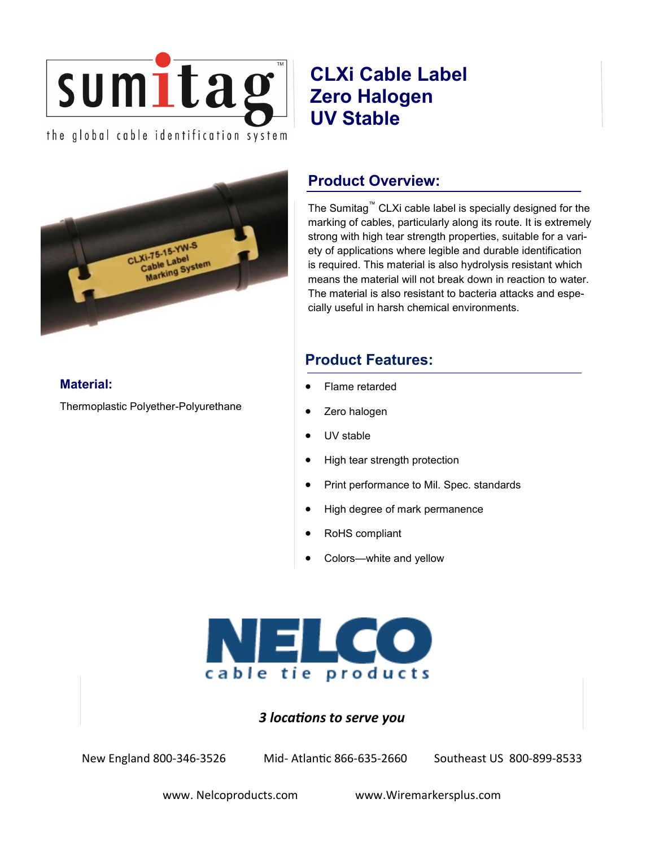

# **CLXi Cable Label Zero Halogen UV Stable**



Thermoplastic Polyether-Polyurethane

**Material:**

# **Product Overview:**

The Sumitag™ CLXi cable label is specially designed for the marking of cables, particularly along its route. It is extremely strong with high tear strength properties, suitable for a variety of applications where legible and durable identification is required. This material is also hydrolysis resistant which means the material will not break down in reaction to water. The material is also resistant to bacteria attacks and especially useful in harsh chemical environments.

## **Product Features:**

- Flame retarded
- Zero halogen
- UV stable
- High tear strength protection
- Print performance to Mil. Spec. standards
- High degree of mark permanence
- RoHS compliant
- Colors—white and yellow



## *3 locations to serve you*

New England 800-346-3526 Mid- Atlantic 866-635-2660 Southeast US 800-899-8533